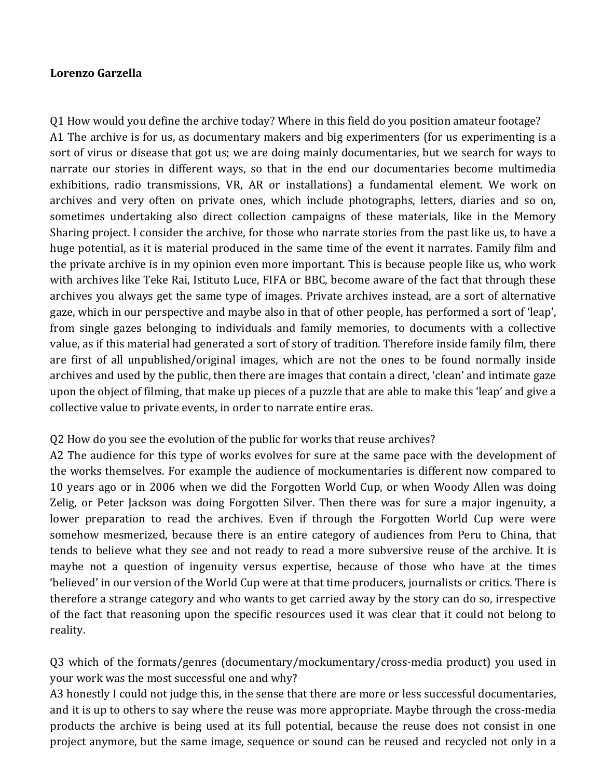## **Lorenzo Garzella**

O1 How would you define the archive today? Where in this field do you position amateur footage? A1 The archive is for us, as documentary makers and big experimenters (for us experimenting is a sort of virus or disease that got us; we are doing mainly documentaries, but we search for ways to narrate our stories in different ways, so that in the end our documentaries become multimedia exhibitions, radio transmissions, VR, AR or installations) a fundamental element. We work on archives and very often on private ones, which include photographs, letters, diaries and so on, sometimes undertaking also direct collection campaigns of these materials, like in the Memory Sharing project. I consider the archive, for those who narrate stories from the past like us, to have a huge potential, as it is material produced in the same time of the event it narrates. Family film and the private archive is in my opinion even more important. This is because people like us, who work with archives like Teke Rai, Istituto Luce, FIFA or BBC, become aware of the fact that through these archives you always get the same type of images. Private archives instead, are a sort of alternative gaze, which in our perspective and maybe also in that of other people, has performed a sort of 'leap', from single gazes belonging to individuals and family memories, to documents with a collective value, as if this material had generated a sort of story of tradition. Therefore inside family film, there are first of all unpublished/original images, which are not the ones to be found normally inside archives and used by the public, then there are images that contain a direct, 'clean' and intimate gaze upon the object of filming, that make up pieces of a puzzle that are able to make this 'leap' and give a collective value to private events, in order to narrate entire eras.

## Q2 How do you see the evolution of the public for works that reuse archives?

A2 The audience for this type of works evolves for sure at the same pace with the development of the works themselves. For example the audience of mockumentaries is different now compared to 10 years ago or in 2006 when we did the Forgotten World Cup, or when Woody Allen was doing Zelig, or Peter Jackson was doing Forgotten Silver. Then there was for sure a major ingenuity, a lower preparation to read the archives. Even if through the Forgotten World Cup were were somehow mesmerized, because there is an entire category of audiences from Peru to China, that tends to believe what they see and not ready to read a more subversive reuse of the archive. It is maybe not a question of ingenuity versus expertise, because of those who have at the times 'believed' in our version of the World Cup were at that time producers, journalists or critics. There is therefore a strange category and who wants to get carried away by the story can do so, irrespective of the fact that reasoning upon the specific resources used it was clear that it could not belong to reality. 

Q3 which of the formats/genres (documentary/mockumentary/cross-media product) you used in your work was the most successful one and why?

A3 honestly I could not judge this, in the sense that there are more or less successful documentaries, and it is up to others to say where the reuse was more appropriate. Maybe through the cross-media products the archive is being used at its full potential, because the reuse does not consist in one project anymore, but the same image, sequence or sound can be reused and recycled not only in a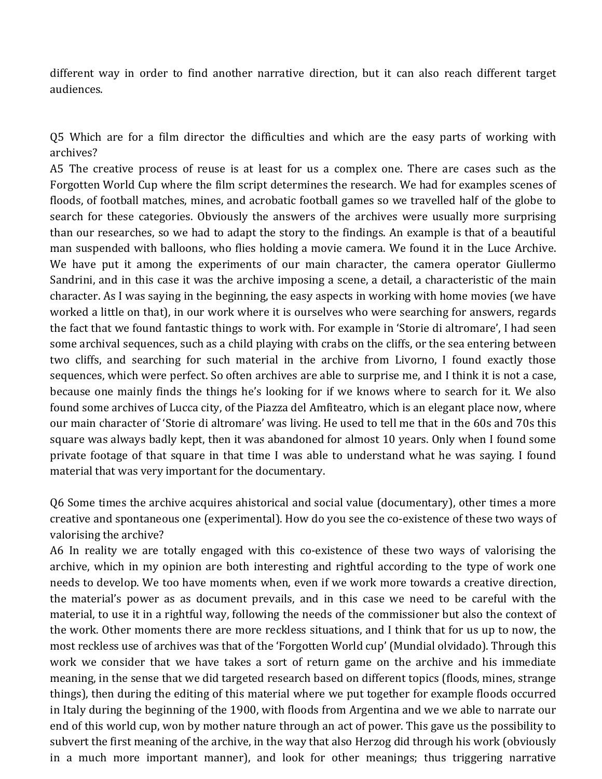different way in order to find another narrative direction, but it can also reach different target audiences. 

Q5 Which are for a film director the difficulties and which are the easy parts of working with archives?

A5 The creative process of reuse is at least for us a complex one. There are cases such as the Forgotten World Cup where the film script determines the research. We had for examples scenes of floods, of football matches, mines, and acrobatic football games so we travelled half of the globe to search for these categories. Obviously the answers of the archives were usually more surprising than our researches, so we had to adapt the story to the findings. An example is that of a beautiful man suspended with balloons, who flies holding a movie camera. We found it in the Luce Archive. We have put it among the experiments of our main character, the camera operator Giullermo Sandrini, and in this case it was the archive imposing a scene, a detail, a characteristic of the main character. As I was saying in the beginning, the easy aspects in working with home movies (we have worked a little on that), in our work where it is ourselves who were searching for answers, regards the fact that we found fantastic things to work with. For example in 'Storie di altromare', I had seen some archival sequences, such as a child playing with crabs on the cliffs, or the sea entering between two cliffs, and searching for such material in the archive from Livorno, I found exactly those sequences, which were perfect. So often archives are able to surprise me, and I think it is not a case, because one mainly finds the things he's looking for if we knows where to search for it. We also found some archives of Lucca city, of the Piazza del Amfiteatro, which is an elegant place now, where our main character of 'Storie di altromare' was living. He used to tell me that in the 60s and 70s this square was always badly kept, then it was abandoned for almost 10 years. Only when I found some private footage of that square in that time I was able to understand what he was saying. I found material that was very important for the documentary.

Q6 Some times the archive acquires ahistorical and social value (documentary), other times a more creative and spontaneous one (experimental). How do you see the co-existence of these two ways of valorising the archive?

A6 In reality we are totally engaged with this co-existence of these two ways of valorising the archive, which in my opinion are both interesting and rightful according to the type of work one needs to develop. We too have moments when, even if we work more towards a creative direction, the material's power as as document prevails, and in this case we need to be careful with the material, to use it in a rightful way, following the needs of the commissioner but also the context of the work. Other moments there are more reckless situations, and I think that for us up to now, the most reckless use of archives was that of the 'Forgotten World cup' (Mundial olvidado). Through this work we consider that we have takes a sort of return game on the archive and his immediate meaning, in the sense that we did targeted research based on different topics (floods, mines, strange things), then during the editing of this material where we put together for example floods occurred in Italy during the beginning of the 1900, with floods from Argentina and we we able to narrate our end of this world cup, won by mother nature through an act of power. This gave us the possibility to subvert the first meaning of the archive, in the way that also Herzog did through his work (obviously in a much more important manner), and look for other meanings; thus triggering narrative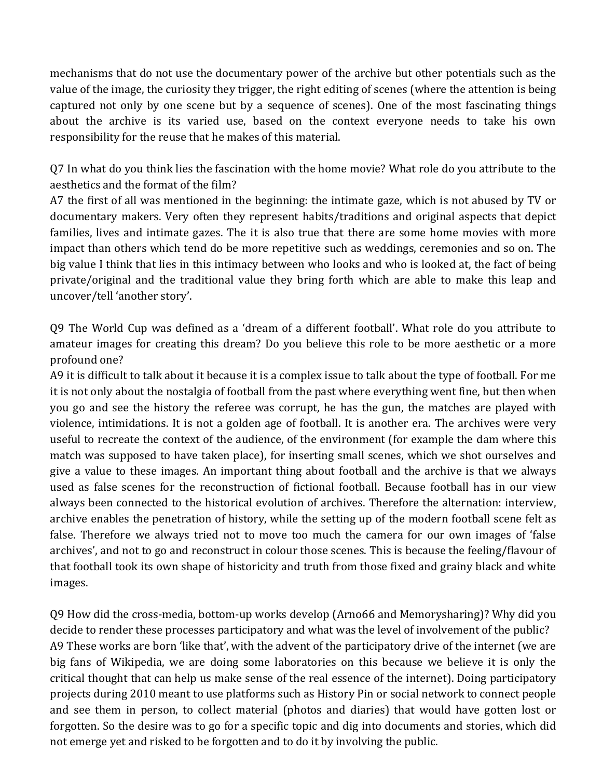mechanisms that do not use the documentary power of the archive but other potentials such as the value of the image, the curiosity they trigger, the right editing of scenes (where the attention is being captured not only by one scene but by a sequence of scenes). One of the most fascinating things about the archive is its varied use, based on the context everyone needs to take his own responsibility for the reuse that he makes of this material.

Q7 In what do you think lies the fascination with the home movie? What role do you attribute to the aesthetics and the format of the film?

A7 the first of all was mentioned in the beginning: the intimate gaze, which is not abused by TV or documentary makers. Very often they represent habits/traditions and original aspects that depict families, lives and intimate gazes. The it is also true that there are some home movies with more impact than others which tend do be more repetitive such as weddings, ceremonies and so on. The big value I think that lies in this intimacy between who looks and who is looked at, the fact of being private/original and the traditional value they bring forth which are able to make this leap and uncover/tell 'another story'.

Q9 The World Cup was defined as a 'dream of a different football'. What role do you attribute to amateur images for creating this dream? Do you believe this role to be more aesthetic or a more profound one?

A9 it is difficult to talk about it because it is a complex issue to talk about the type of football. For me it is not only about the nostalgia of football from the past where everything went fine, but then when you go and see the history the referee was corrupt, he has the gun, the matches are played with violence, intimidations. It is not a golden age of football. It is another era. The archives were very useful to recreate the context of the audience, of the environment (for example the dam where this match was supposed to have taken place), for inserting small scenes, which we shot ourselves and give a value to these images. An important thing about football and the archive is that we always used as false scenes for the reconstruction of fictional football. Because football has in our view always been connected to the historical evolution of archives. Therefore the alternation: interview, archive enables the penetration of history, while the setting up of the modern football scene felt as false. Therefore we always tried not to move too much the camera for our own images of 'false archives', and not to go and reconstruct in colour those scenes. This is because the feeling/flavour of that football took its own shape of historicity and truth from those fixed and grainy black and white images. 

Q9 How did the cross-media, bottom-up works develop (Arno66 and Memorysharing)? Why did you decide to render these processes participatory and what was the level of involvement of the public? A9 These works are born 'like that', with the advent of the participatory drive of the internet (we are big fans of Wikipedia, we are doing some laboratories on this because we believe it is only the critical thought that can help us make sense of the real essence of the internet). Doing participatory projects during 2010 meant to use platforms such as History Pin or social network to connect people and see them in person, to collect material (photos and diaries) that would have gotten lost or forgotten. So the desire was to go for a specific topic and dig into documents and stories, which did not emerge yet and risked to be forgotten and to do it by involving the public.